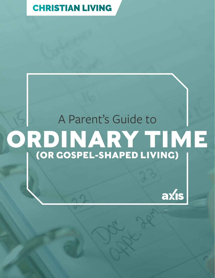[CHRISTIAN LIVING](https://axis.org/parent-guides/#christianliving)

# A Parent's Guide to **ORDINARY TIME (OR GOSPEL-SHAPED LIVING)**

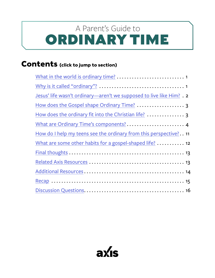## <span id="page-1-0"></span>ORDINARY TIME A Parent's Guide to

## **Contents (click to jump to section)**

| Jesus' life wasn't ordinary—aren't we supposed to live like Him? . 2 |
|----------------------------------------------------------------------|
|                                                                      |
|                                                                      |
|                                                                      |
| How do I help my teens see the ordinary from this perspective? 11    |
| What are some other habits for a gospel-shaped life? 12              |
|                                                                      |
|                                                                      |
|                                                                      |
|                                                                      |
|                                                                      |

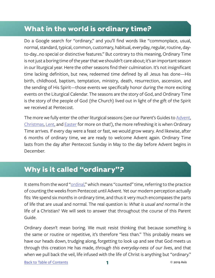## <span id="page-2-0"></span>**What in the world is ordinary time?**

Do a Google search for "ordinary," and you'll find words like "commonplace, usual, normal, standard, typical, common, customary, habitual, everyday, regular, routine, dayto-day...no special or distinctive features." But contrary to this meaning, Ordinary Time is not just a boring time of the year that we shouldn't care about; it's an important season in our liturgical year. Here the other seasons find their culmination. It's not insignificant time lacking definition, but new, redeemed time defined by all Jesus has done—His birth, childhood, baptism, temptation, ministry, death, resurrection, ascension, and the sending of His Spirit—those events we specifically honor during the more exciting events on the Liturgical Calendar. The seasons are the story of God, and Ordinary Time is the story of the people of God (the Church) lived out in light of the gift of the Spirit we received at Pentecost.

The more we fully enter the other liturgical seasons (see our Parent's Guides to [Advent](https://axis.org/product/membership-product-for-a-parents-guide-to-advent/), [Christmas,](https://axis.org/product/membership-product-for-12-days-of-christmas/) [Lent,](https://axis.org/product/membership-product-for-lent/) and [Easter](https://axis.org/product/membership-product-for-easter/) for more on that!), the more refreshing it is when Ordinary Time arrives. If every day were a feast or fast, we would grow weary. And likewise, after 6 months of ordinary time, we are ready to welcome Advent again. Ordinary Time lasts from the day after Pentecost Sunday in May to the day before Advent begins in December.

## **Why is it called "ordinary"?**

It stems from the word "[ordinal](https://aleteia.org/2017/06/05/the-surprisingly-deep-spiritual-meaning-behind-ordinary-time/)," which means "counted" time, referring to the practice of counting the weeks from Pentecost until Advent. Yet our modern perception actually fits: We spend six months in ordinary time, and thus it very much encompases the parts of life that are usual and normal. The real question is: *What is usual and normal* in the life of a Christian? We will seek to answer that throughout the course of this Parent Guide.

Ordinary doesn't mean boring. We must resist thinking that because something is the same or routine or repetitive, it's therefore "less than." This probably means we have our heads down, trudging along, forgetting to look up and see that God meets us through this creation He has made, *through this everyday-ness of our lives*, and that when we pull back the veil, life infused with the life of Christ is anything but "ordinary."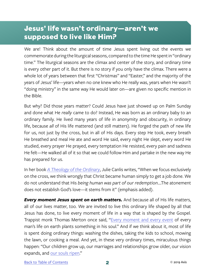## <span id="page-3-0"></span>**Jesus' life wasn't ordinary—aren't we supposed to live like Him?**

We are! Think about the amount of time Jesus spent living out the events we commemorate during the liturgical seasons, compared to the time He spent in "ordinary time." The liturgical seasons are the climax and center of the story, and ordinary time is every other part of it. But there is no story if you only have the climax. There were a whole lot of years between that first "Christmas" and "Easter," and the majority of the years of Jesus' life—years when no one knew who He really was, years when He wasn't "doing ministry" in the same way He would later on—are given no specific mention in the Bible.

But why? Did those years matter? Could Jesus have just showed up on Palm Sunday and done what He *really* came to do? Instead, He was born as an ordinary baby to an ordinary family. He lived many years of life in anonymity and obscurity, in ordinary life, because *all* of His life mattered (and still matters). He forged the path of new life for us, not just by the cross, but in all of His days. Every step He took, every breath He breathed and meal He ate and word He said, every night He slept, every word He studied, every prayer He prayed, every temptation He resisted, every pain and sadness He felt—He walked all of it so that we could follow Him and partake in the new way He has prepared for us.

In her book *[A Theology of the Ordinary](https://www.amazon.com/Theology-Ordinary-Julie-Canlis/dp/0692840281)*, Julie Canlis writes, "When we focus exclusively on the cross, we think wrongly that Christ became human simply to get a job done. We do not understand that His *being human was part of our redemption*....The atonement does not establish God's love—it stems from it" (emphasis added).

*Every moment Jesus spent on earth matters.* And because all of His life matters, all of our lives matter, too. We are invited to live this ordinary life shaped by all that Jesus has done, to live every moment of life in a way that is shaped by the Gospel. Trappist monk Thomas Merton once said, "[Every moment and every event](https://www.goodreads.com/quotes/705087-every-moment-and-every-event-of-every-man-s-life-on) of every man's life on earth plants something in his soul." And if we think about it, most of life is spent doing ordinary things: washing the dishes, taking the kids to school, mowing the lawn, or cooking a meal. And yet, in these very ordinary times, miraculous things happen: "Our children grow up, our marriages and relationships grow older, our vision expands, and [our souls ripen](http://www.beliefnet.com/faiths/catholic/2003/09/ordinary-time.aspx)."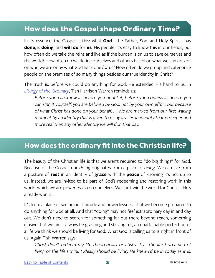## <span id="page-4-0"></span>**How does the Gospel shape Ordinary Time?**

In its essence, the Gospel is this: what **God**—the Father, Son, and Holy Spirit—has **done**, is **doing**, and **will do** for **us**, His people. It's easy to know this in our heads, but how often do we take the reins and live as if the burden is on us to save ourselves and the world? How often do we define ourselves and others based on what we can do, *not* on who we are or by what God has done *for* us? How often do we group and categorize people on the premises of so many things besides our true identity in Christ?

The truth is, before we could do anything for God, He extended His hand to us. In *[Liturgy of the Ordinary](https://www.amazon.com/Liturgy-Ordinary-Sacred-Practices-Everyday/dp/0830846239/ref=sr_1_2?s=books&ie=UTF8&qid=1530632474&sr=1-2&keywords=liturgy+of+the+ordinary+by+tish+harrison+warren&dpID=51xviwDbIHL&preST=_SY291_BO1,204,203,200_QL40_&dpSrc=srch)*, Tish Harrison Warren reminds us:

*Before you can know it, before you doubt it, before you confess it, before you can sing it yourself, you are beloved by God, not by your own effort but because of what Christ has done on your behalf. . . .We are marked from our first waking moment by an identity that is given to us by grace: an identity that is deeper and more real than any other identity we will don that day.*

## **How does the ordinary fit into the Christian life?**

The beauty of the Christian life is that we aren't required to "do big things" for God. Because of the Gospel, our *doing* originates from a place of *being*. We can live from a posture of **rest** in an identity of **grace** with the **peace** of knowing it's not up to us; instead, we are invited to be part of God's redeeming and restoring work in this world, which we are powerless to do ourselves. We can't win the world for Christ—He's already won it.

It's from a place of seeing our finitude and powerlessness that we become prepared to do anything for God at all. And that "doing" may not *feel* extraordinary day in and day out. We don't need to search for something far out there beyond reach, something elusive that we must always be grasping and striving for, an unattainable perfection of a life we think we should be living for God. What God is calling us to is right in front of us. Again Tish Warren says:

*Christ didn't redeem my life theoretically or abstractly—the life I dreamed of living or the life I think I ideally should be living. He knew I'd be in today as it is,*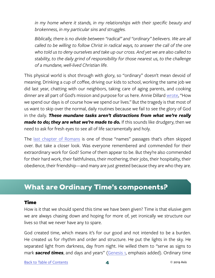<span id="page-5-0"></span>*in my home where it stands, in my relationships with their specific beauty and brokenness, in my particular sins and struggles.*

*Biblically, there is no divide between "radical" and "ordinary" believers. We are all called to be willing to follow Christ in radical ways, to answer the call of the one who told us to deny ourselves and take up our cross. And yet we are also called to stability, to the daily grind of responsibility for those nearest us, to the challenge of a mundane, well-lived Christian life.*

This physical world is shot through with glory, so "ordinary" doesn't mean devoid of meaning. Drinking a cup of coffee, driving our kids to school, working the same job we did last year, chatting with our neighbors, taking care of aging parents, and cooking dinner are all part of God's mission and purpose for us here. Annie Dillard [wrote](https://www.goodreads.com/quotes/530337-how-we-spend-our-days-is-of-course-how-we), "How we spend our days is of course how we spend our lives." But the tragedy is that most of us want to skip over the normal, daily routines because we fail to see the glory of God in the daily. *These mundane tasks aren't distractions from what we're really made to do; they are what we're made to do.* If this sounds like drudgery, then we need to ask for fresh eyes to see all of life sacramentally and holy.

The [last chapter of Romans](https://www.biblegateway.com/passage/?search=Romans+16&version=NIV) is one of those "names" passages that's often skipped over. But take a closer look. Was everyone remembered and commended for their extraordinary work for God? Some of them appear to be. But they're also commended for their hard work, their faithfulness, their mothering, their jobs, their hospitality, their obedience, their friendship—and many are just greeted because they are who they are.

## **What are Ordinary Time's components?**

#### Time

How is it that we should spend this time we have been given? Time is that elusive gem we are always chasing down and hoping for more of, yet ironically we structure our lives so that we never have any to spare.

God created time, which means it's for our good and not intended to be a burden. He created us for rhythm and order and structure. He put the lights in the sky. He separated light from darkness, day from night. He willed them to "serve as signs to mark *sacred times*, and days and years" [\(Genesis 1](https://www.biblegateway.com/passage/?search=Genesis+1%3A14-15&version=NIV), emphasis added). Ordinary time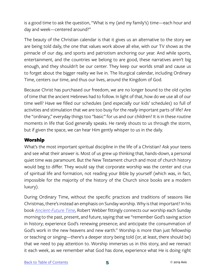is a good time to ask the question, "What is my (and my family's) time—each hour and day and week—centered around?"

The beauty of the Christian calendar is that it gives us an alternative to the story we are being told daily, the one that values work above all else, with our TV shows as the pinnacle of our day, and sports and patriotism anchoring our year. And while sports, entertainment, and the countries we belong to are good, these narratives aren't big enough, and they shouldn't be our center. They keep our worlds small and cause us to forget about the bigger reality we live in. The liturgical calendar, including Ordinary Time, centers our time, and thus our lives, around the Kingdom of God.

Because Christ has purchased our freedom, we are no longer bound to the old cycles of time that the ancient Hebrews had to follow. In light of that, how do we use all of our time well? Have we filled our schedules (and especially our kids' schedules) so full of activities and stimulation that we are too busy for the *really* important parts of life? Are the "ordinary," everyday things too "basic" for us and our children? It is in these routine moments in life that God generally speaks. He rarely shouts to us through the storm, but if given the space, we can hear Him gently whisper to us in the daily.

#### Worship

What's the most important spiritual discipline in the life of a Christian? Ask your teens and see what their answer is. Most of us grew up thinking that, hands-down, a personal quiet time was paramount. But the New Testament church and most of church history would beg to differ. They would say that corporate worship was the center and crux of spiritual life and formation, not reading your Bible by yourself (which was, in fact, impossible for the majority of the history of the Church since books are a modern luxury).

During Ordinary Time, without the specific practices and traditions of seasons like Christmas, there's instead an emphasis on Sunday worship. Why is that important? In his book *[Ancient-Future Time](https://www.amazon.com/Ancient-Future-Time-Forming-Spirituality-Christian/dp/0801091756)*, Robert Webber fittingly connects our worship each Sunday morning to the past, present, and future, saying that we "remember God's saving action in history; experience God's renewing presence; and anticipate the consummation of God's work in the new heavens and new earth." Worship is more than just fellowship or teaching or singing—there's a deeper story being told (or, at least, there should be) that we need to pay attention to. Worship immerses us in this story, and we reenact it each week, as we remember what God has done, experience what He is doing right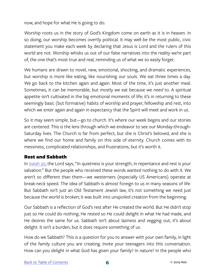now, and hope for what He is going to do.

Worship roots us in the story of God's Kingdom come on earth as it is in heaven. In so doing, our worship becomes overtly political. It may well be the most public, civic statement you make each week by declaring that Jesus is Lord and the rulers of this world are not. Worship whisks us out of our false narratives into the reality we're part of, the one that's most true and real, reminding us of what we so easily forget.

We humans are drawn to novel, new, emotional, shocking, and dramatic experiences, but worship is more like eating, like nourishing our souls. We eat three times a day. We go back to the kitchen again and again. Most of the time, it's just another meal. Sometimes, it can be memorable, but mostly we eat because we *need* to. A spiritual appetite isn't cultivated in the big emotional moments of life; it's in returning to these seemingly basic (but formative) habits of worship and prayer, fellowship and rest, into which we enter again and again in expectancy that the Spirit will meet and work in us.

So it may seem simple, but—go to church. It's where our week begins and our stories are centered. This is the lens through which we endeavor to see our Monday-through-Saturday lives. The Church is far from perfect, but she is Christ's beloved, and she is where we find our home and family on this side of eternity. Church comes with its messiness, complicated relationships, and frustrations, but it's worth it.

#### Rest and Sabbath

In **Isaiah 30**, the Lord says, "In quietness is your strength, in repentance and rest is your salvation." But the people who received these words wanted nothing to do with it. We aren't so different than them—we westerners (especially US Americans) operate at break-neck speed. The idea of Sabbath is almost foreign to us in many seasons of life. But Sabbath isn't just an Old Testament Jewish law, it's not something we need just because the world is broken; it was built into unspoiled creation from the beginning.

Our Sabbath is a reflection of God's rest after He created the world. But He didn't stop just so He could do nothing; He rested so He could delight in what He had made, and He desires the same for us. Sabbath isn't about laziness and vegging out, it's about delight. It isn't a burden, but it does require something of us.

How do we Sabbath? This is a question for you to answer with your own family, in light of the family culture you are creating. Invite your teenagers into this conversation. How can you delight in what God has given your family? In nature? In the people who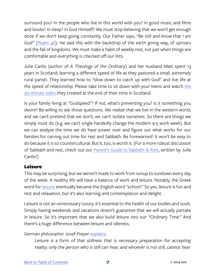surround you? In the people who live in this world with you? In good music and films and books? In sleep? In God Himself? We must stop believing that we won't get enough done if we don't keep going constantly. Our Father says, "Be still and know that I am God" [\(Psalm 46\)](https://www.biblegateway.com/passage/?search=psalm+46%3A10&version=NIV). He said this with the backdrop of the earth giving way, of uproars and the fall of kingdoms. We must make a habit of weekly rest, not just when things are comfortable and everything is checked off our lists.

Julie Canlis (author of *A Theology of the Ordinary*) and her husband Matt spent 13 years in Scotland, learning a different speed of life as they pastored a small, extremely rural parish. They learned how to "slow down to catch up with God" and live life at [the](https://www.livegodspeed.org/home) speed of relationship. Please take time to sit down with your teens and watch the [30-minute video](https://www.livegodspeed.org/home) they created at the end of their time in Scotland.

Is your family living at "Godspeed"? If not, what's preventing you? Is it something you desire? Be willing to ask those questions. We realize that we live in the western world, and we can't pretend that we don't; we can't isolate ourselves. So there are things we simply must do (e.g. we can't single handedly change the modern 9-5 work week). But we can analyze the time we do have power over and figure out what works for our families for carving out time for rest and Sabbath. Be forewarned! It won't be easy to do because it is so countercultural. But it, too, is worth it. (For a more robust discussion of Sabbath and rest, check out our [Parent's Guide to Sabbath & Rest](https://axis.org/product/membership-product-for-sabbath-rest/), written by Julie Canlis!)

#### Leisure

This may be surprising, but we weren't made to work from sunup to sundown every day of the week. A healthy life will have a balance of work and leisure. Notably, the Greek word for [leisure](https://www.brainpickings.org/2015/08/10/leisure-the-basis-of-culture-josef-pieper/) eventually became the English word "school." So yes, leisure is fun and rest and relaxation, but it's also learning and contemplation and delight.

Leisure is *not* an unnecessary luxury; it's essential to the health of our bodies and souls. Simply having weekends and vacations doesn't guarantee that we will actually partake in leisure. So it's important that we also build leisure into our "Ordinary Time." And there's a huge difference between leisure and idleness.

German philosopher Josef Pieper [explains](https://www.amazon.com/Leisure-Basis-Culture-Josef-Pieper/dp/0865972109/?tag=braipick-20):

*Leisure is a form of that stillness that is necessary preparation for accepting reality; only the person who is still can hear, and whoever is not still, cannot hear.*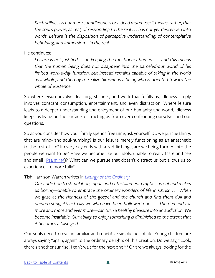*Such stillness is not mere soundlessness or a dead muteness; it means, rather, that the soul's power, as real, of responding to the real . . . has not yet descended into words. Leisure is the disposition of perceptive understanding, of contemplative beholding, and immersion—in the real.*

He continues:

*Leisure is not justified . . . in keeping the functionary human. . . . and this means that the human being does not disappear into the parceled-out world of his limited work-a-day function, but instead remains capable of taking in the world as a whole, and thereby to realize himself as a being who is oriented toward the whole of existence.*

So where leisure involves learning, stillness, and work that fulfills us, idleness simply involves constant consumption, entertainment, and even distraction. Where leisure leads to a deeper understanding and enjoyment of our humanity and world, idleness keeps us living on the surface, distracting us from ever confronting ourselves and our questions.

So as you consider how your family spends free time, ask yourself: Do we pursue things that are mind- and soul-numbing? Is our leisure merely functioning as an anesthetic to the rest of life? If every day ends with a Netflix binge, are we being formed into the people we want to be? Have we become like our idols, unable to really taste and see and smell ([Psalm 115](https://www.biblegateway.com/passage/?search=psalm+115&version=NIV))? What can we pursue that doesn't distract us but allows us to experience life more fully?

Tish Harrison Warren writes in *[Liturgy of the Ordinary](https://www.amazon.com/Liturgy-Ordinary-Sacred-Practices-Everyday/dp/0830846239)*:

*Our addiction to stimulation, input, and entertainment empties us out and makes us boring—unable to embrace the ordinary wonders of life in Christ. . . . When we gaze at the richness of the gospel and the church and find them dull and uninteresting, it's actually we who have been hollowed out. . . . The demand for more and more and ever more—can turn a healthy pleasure into an addiction. We become insatiable. Our ability to enjoy something is diminished to the extent that it becomes a false god.*

Our souls need to revel in familiar and repetitive simplicities of life. Young children are always saying "again, again" to the ordinary delights of this creation. Do we say, "Look, there's another sunrise! I can't wait for the next one!"? Or are we always looking for the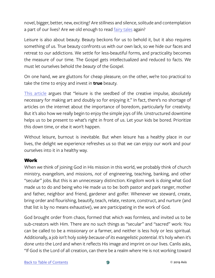novel, bigger, better, new, exciting? Are stillness and silence, solitude and contemplation a part of our lives? Are we old enough to read [fairy tales](https://www.goodreads.com/quotes/56726-i-wrote-this-story-for-you-but-when-i-began) again?

Leisure is also about beauty. Beauty beckons for us to behold it, but it also requires something of us. True beauty confronts us with our own lack, so we hide our faces and retreat to our addictions. We settle for less-beautiful forms, and practicality becomes the measure of our time. The Gospel gets intellectualized and reduced to facts. We must let ourselves behold the *beauty* of the Gospel.

On one hand, we are gluttons for cheap pleasure; on the other, we're too practical to take the time to enjoy and invest in **true** beauty.

[This article](https://www.brainpickings.org/2015/08/10/leisure-the-basis-of-culture-josef-pieper/) argues that "leisure is the seedbed of the creative impulse, absolutely necessary for making art and doubly so for enjoying it." In fact, there's no shortage of articles on the internet about the importance of boredom, particularly for creativity. But it's also how we really begin to enjoy the simple joys of life. Unstructured downtime helps us to be present to what's right in front of us. Let your kids be bored. Prioritize this down time, or else it won't happen.

Without leisure, burnout is inevitable. But when leisure has a healthy place in our lives, the delight we experience refreshes us so that we can enjoy our work and pour ourselves into it in a healthy way.

#### Work

When we think of joining God in His mission in this world, we probably think of church ministry, evangelism, and missions, *not* of engineering, teaching, banking, and other "secular" jobs. But this is an unnecessary distinction. Kingdom work is doing what God made us to do and being who He made us to be: both pastor and park ranger, mother and father, neighbor and friend, gardener and golfer. Whenever we steward, create, bring order and flourishing, beautify, teach, relate, restore, construct, and nurture (and that list is by no means exhaustive), we are participating in the work of God.

God brought order from chaos, formed that which was formless, and invited us to be sub-creators with Him. There are no such things as "secular" and "sacred" work: You can be called to be a missionary or a farmer, and neither is less holy or less spiritual. Additionally, a job isn't holy *solely because of its evangelistic potential*. It's holy when it's done unto the Lord and when it reflects His image and imprint on our lives. Canlis asks, "If God is the Lord of all creation, can there be a realm where He is not working toward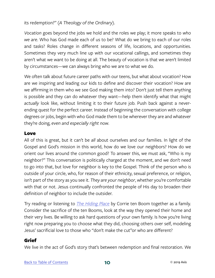its redemption?" (*A Theology of the Ordinary*).

*Vocation* goes beyond the jobs we hold and the roles we play; it more speaks to *who we are*. Who has God made each of us to be? What do we bring to each of our roles and tasks? Roles change in different seasons of life, locations, and opportunities. Sometimes they very much line up with our vocational callings, and sometimes they aren't what we want to be doing at all. The beauty of vocation is that we aren't limited by circumstances—we can always bring who we are to what we do.

We often talk about future career paths with our teens, but what about vocation? How are we inspiring and leading our kids to define and discover their vocation? How are we affirming in them who we see God making them into? Don't just tell them anything is possible and they can do whatever they want—help them identify what that might *actually* look like, without limiting it to their future job. Push back against a neverending quest for the perfect career. Instead of beginning the conversation with college degrees or jobs, begin with who God made them to be wherever they are and whatever they're doing, *even and especially right now*.

#### Love

All of this is great, but it can't be *all* about ourselves and our families. In light of the Gospel and God's mission in this world, how do we love our neighbors? How do we orient our lives around the common good? To answer this, we must ask, "Who is my neighbor?" This conversation is politically charged at the moment, and we don't need to go into that, but love for neighbor is key to the Gospel. Think of the person who is outside of your circle, who, for reason of their ethnicity, sexual preference, or religion, isn't part of the story as you see it. *They are your neighbor*, whether you're comfortable with that or not. Jesus continually confronted the people of His day to broaden their definition of neighbor to include the outsider.

Try reading or listening to *[The Hiding Place](https://www.amazon.com/Hiding-Place-Triumphant-Story-Corrie/dp/0553256696)* by Corrie ten Boom together as a family. Consider the sacrifice of the ten Booms, look at the way they opened their home and their very lives. Be willing to ask hard questions of your own family. Is how you're living right now preparing you to choose what they did, choosing others over self, modeling Jesus' sacrificial love to those who "don't make the cut"or who are different?

#### Grief

We live in the act of God's story that's between redemption and final restoration. We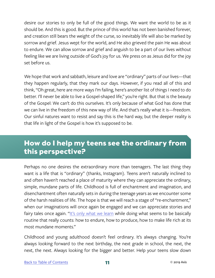<span id="page-12-0"></span>desire our stories to only be full of the good things. We want the world to be as it should be. And this is good. But the prince of this world has not been banished forever, and creation still bears the weight of the curse, so inevitably life will also be marked by sorrow and grief. Jesus wept for the world, and He also grieved the pain He was about to endure. We can allow sorrow and grief and anguish to be a part of our lives without feeling like we are living outside of God's joy for us. We press on as Jesus did for the joy set before us.

We hope that work and sabbath, leisure and love are "ordinary" parts of our lives—that they happen regularly, that they mark our days. However, if you read all of this and think, "Oh great, here are more ways I'm failing, here's another list of things I need to do better. I'll never be able to live a Gospel-shaped life," you're right. But that is the beauty of the Gospel: We can't do this ourselves. It's only because of what God has done that we can live in the freedom of this new way of life. And that's really what it is—freedom. Our sinful natures want to resist and say this is the hard way, but the deeper reality is that life in light of the Gospel is how it's supposed to be.

## **How do I help my teens see the ordinary from this perspective?**

Perhaps no one desires the extraordinary more than teenagers. The last thing they want is a life that is "ordinary" (thanks, Instagram). Teens aren't naturally inclined to and often haven't reached a place of maturity where they can appreciate the ordinary, simple, mundane parts of life. Childhood is full of enchantment and imagination, and disenchantment often naturally sets in during the teenage years as we encounter some of the harsh realities of life. The hope is that we will reach a stage of "re-enchantment," when our imaginations will once again be engaged and we can appreciate stories and fairy tales once again. "[It's only what we learn](http://www.beliefnet.com/faiths/catholic/2003/09/ordinary-time.aspx) while doing what seems to be basically routine that really counts: how to endure, how to produce, how to make life rich at its most mundane moments."

Childhood and young adulthood doesn't feel ordinary. It's always changing. You're always looking forward to the next birthday, the next grade in school, the next, the next, the next. Always looking for the bigger and better. Help your teens slow down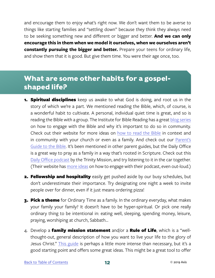<span id="page-13-0"></span>and encourage them to enjoy what's right now. We don't want them to be averse to things like starting families and "settling down" because they think they always need to be seeking something new and different or bigger and better. **And we can only encourage this in them when we model it ourselves, when we ourselves aren't constantly pursuing the bigger and better.** Prepare your teens for ordinary life, and show them that it is good. But give them time. You were their age once, too.

## **What are some other habits for a gospelshaped life?**

- **1. Spiritual disciplines** keep us awake to what God is doing, and root us in the story of which we're a part. We mentioned reading the Bible, which, of course, is a wonderful habit to cultivate. A personal, individual quiet time is great, and so is reading the Bible with a group. The Institute for Bible Reading has a great [blog series](https://instituteforbiblereading.org/no-bible-to-know-bible-part-1/) on how to engage with the Bible and why it's important to do so in community. Check out their website for more ideas on [how to read the Bible](https://instituteforbiblereading.org/immerse/) in context and in community with your church or even as a family. And check out our [Parent's](https://axis.org/product/membership-product-for-the-bible/) [Guide to the Bible](https://axis.org/product/membership-product-for-the-bible/). It's been mentioned in other parent guides, but the Daily Office is a great way to pray as a family in a way that's rooted in Scripture. Check out this [Daily Office podcast](https://itunes.apple.com/us/podcast/audio-daily-office-the-trinity-mission/id604914110?mt=2) by the Trinity Mission, and try listening to it in the car together. (Their website has [more ideas](http://thetrinitymission.org/guide/) on how to engage with their podcast, even out-loud.)
- **2. Fellowship and hospitality** easily get pushed aside by our busy schedules, but don't underestimate their importance. Try designating one night a week to invite people over for dinner, even if it just means ordering pizza!
- **3. Pick a theme** for Ordinary Time as a family. In the ordinary everyday, what makes your family your family? It doesn't have to be hyper-spiritual. Or pick one really ordinary thing to be intentional in: eating well, sleeping, spending money, leisure, praying, worshiping at church, Sabbath…
- 4. Develop a family mission statement and/or a Rule of Life, which is a "wellthought-out, general description of how you want to live your life to the glory of Jesus Christ." [This guide](http://thetrinitymission.org/wp-content/uploads/2016/03/Creating-a-Rule-of-Life-for-Yourself-and-Your-Family.pdf) is perhaps a little more intense than necessary, but it's a good starting point and offers some great ideas. This might be a great tool to offer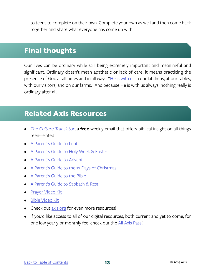<span id="page-14-0"></span>to teens to complete on their own. Complete your own as well and then come back together and share what everyone has come up with.

## **Final thoughts**

Our lives can be ordinary while still being extremely important and meaningful and significant. Ordinary doesn't mean apathetic or lack of care; it means practicing the presence of God at all times and in all ways. "[He is with us](https://www.goodreads.com/quotes/tag/ordinary-time) in our kitchens, at our tables, with our visitors, and on our farms." And because He is with us always, nothing really is ordinary after all.

## **Related Axis Resources**

- *• [The Culture Translator](http://axis.org/ct)*, a **free** weekly email that offers biblical insight on all things teen-related
- [A Parent's Guide to Lent](https://axis.org/product/membership-product-for-lent/)
- [A Parent's Guide to Holy Week & Easter](https://axis.org/product/membership-product-for-easter/)
- [A Parent's Guide to Advent](https://axis.org/product/membership-product-for-a-parents-guide-to-advent/)
- [A Parent's Guide to the 12 Days of Christmas](https://axis.org/product/membership-product-for-12-days-of-christmas/)
- [A Parent's Guide to the Bible](https://axis.org/product/membership-product-for-the-bible/)
- [A Parent's Guide to Sabbath & Rest](https://axis.org/product/membership-product-for-sabbath-rest/)
- [Prayer Video Kit](https://axis.org/product/prayer/)
- [Bible Video Kit](https://axis.org/product/bible/)
- Check out [axis.org](https://axis.org) for even more resources!
- If you'd like access to all of our digital resources, both current and yet to come, for one low yearly or monthly fee, check out the [All Axis Pass](https://axis.org/aap)!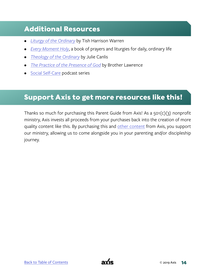## <span id="page-15-0"></span>**Additional Resources**

- *• [Liturgy of the Ordinary](https://www.amazon.com/Liturgy-Ordinary-Sacred-Practices-Everyday/dp/0830846239)* by Tish Harrison Warren
- *• [Every Moment Holy](https://store.rabbitroom.com/products/every-moment-holy)*, a book of prayers and liturgies for daily, ordinary life
- *• [Theology of the Ordinary](https://www.amazon.com/Theology-Ordinary-Julie-Canlis/dp/0692840281)* by Julie Canlis
- *• [The Practice of the Presence of God](https://www.christianbook.com/the-practice-of-the-presence-god/brother-lawrence/9780883681053/pd/84667?event=ESRCQ)* by Brother Lawrence
- **[Social Self-Care](https://theartofsimple.net/podcast/121/) podcast series**

## **Support Axis to get more resources like this!**

Thanks so much for purchasing this Parent Guide from Axis! As a 501(c)(3) nonprofit ministry, Axis invests all proceeds from your purchases back into the creation of more quality content like this. By purchasing this and [other content](https://axis.org) from Axis, you support our ministry, allowing us to come alongside you in your parenting and/or discipleship journey.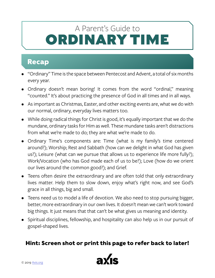## <span id="page-16-0"></span>ORDINARY TIME A Parent's Guide to

## **Recap**

- "Ordinary" Time is the space between Pentecost and Advent, a total of six months every year.
- Ordinary doesn't mean boring! It comes from the word "ordinal," meaning "counted." It's about practicing the presence of God in all times and in all ways.
- As important as Christmas, Easter, and other exciting events are, what we do with our normal, ordinary, everyday lives matters too.
- While doing radical things for Christ is good, it's equally important that we do the mundane, ordinary tasks for Him as well. These mundane tasks aren't distractions from what we're made to do; they are what we're made to do.
- Ordinary Time's components are: Time (what is my family's time centered around?); Worship; Rest and Sabbath (how can we delight in what God has given us?); Leisure (what can we pursue that allows us to experience life more fully?); Work/Vocation (who has God made each of us to be?); Love (how do we orient our lives around the common good?); and Grief.
- Teens often desire the extraordinary and are often told that only extraordinary lives matter. Help them to slow down, enjoy what's right now, and see God's grace in all things, big and small.
- Teens need us to model a life of devotion. We also need to stop pursuing bigger, better, more extraordinary in our own lives. It doesn't mean we can't work toward big things. It just means that that can't be what gives us meaning and identity.
- Spiritual disciplines, fellowship, and hospitality can also help us in our pursuit of gospel-shaped lives.

### **Hint: Screen shot or print this page to refer back to later!**